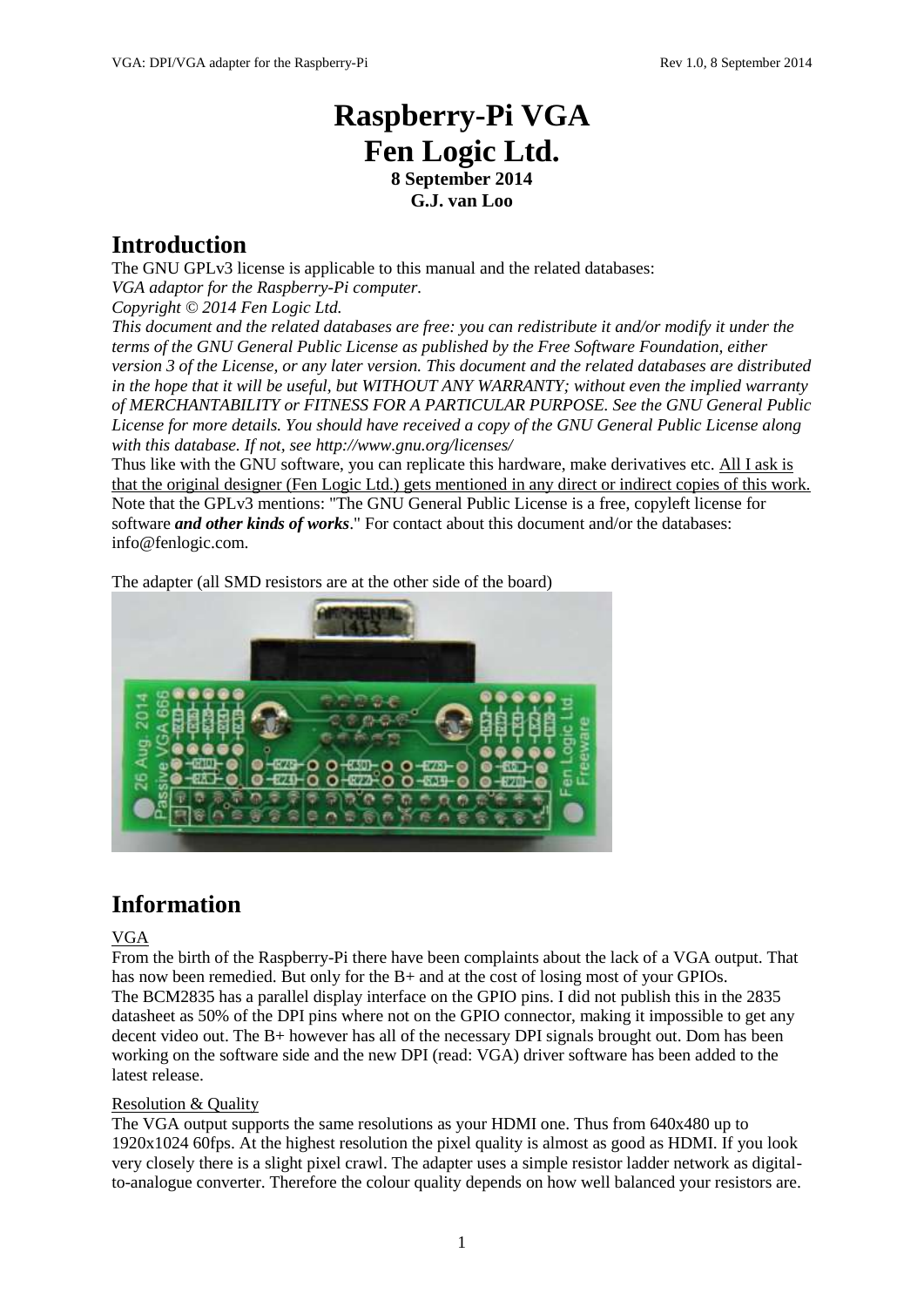# **Raspberry-Pi VGA Fen Logic Ltd. 8 September 2014 G.J. van Loo**

### **Introduction**

The GNU GPLv3 license is applicable to this manual and the related databases: *VGA adaptor for the Raspberry-Pi computer. Copyright © 2014 Fen Logic Ltd. This document and the related databases are free: you can redistribute it and/or modify it under the* 

*terms of the GNU General Public License as published by the Free Software Foundation, either version 3 of the License, or any later version. This document and the related databases are distributed in the hope that it will be useful, but WITHOUT ANY WARRANTY; without even the implied warranty of MERCHANTABILITY or FITNESS FOR A PARTICULAR PURPOSE. See the GNU General Public License for more details. You should have received a copy of the GNU General Public License along with this database. If not, see http://www.gnu.org/licenses/*

Thus like with the GNU software, you can replicate this hardware, make derivatives etc. All I ask is that the original designer (Fen Logic Ltd.) gets mentioned in any direct or indirect copies of this work. Note that the GPLv3 mentions: "The GNU General Public License is a free, copyleft license for software *and other kinds of works*." For contact about this document and/or the databases: info@fenlogic.com.

The adapter (all SMD resistors are at the other side of the board)



## **Information**

### VGA

From the birth of the Raspberry-Pi there have been complaints about the lack of a VGA output. That has now been remedied. But only for the B+ and at the cost of losing most of your GPIOs. The BCM2835 has a parallel display interface on the GPIO pins. I did not publish this in the 2835 datasheet as 50% of the DPI pins where not on the GPIO connector, making it impossible to get any decent video out. The B+ however has all of the necessary DPI signals brought out. Dom has been working on the software side and the new DPI (read: VGA) driver software has been added to the latest release.

### Resolution & Quality

The VGA output supports the same resolutions as your HDMI one. Thus from 640x480 up to 1920x1024 60fps. At the highest resolution the pixel quality is almost as good as HDMI. If you look very closely there is a slight pixel crawl. The adapter uses a simple resistor ladder network as digitalto-analogue converter. Therefore the colour quality depends on how well balanced your resistors are.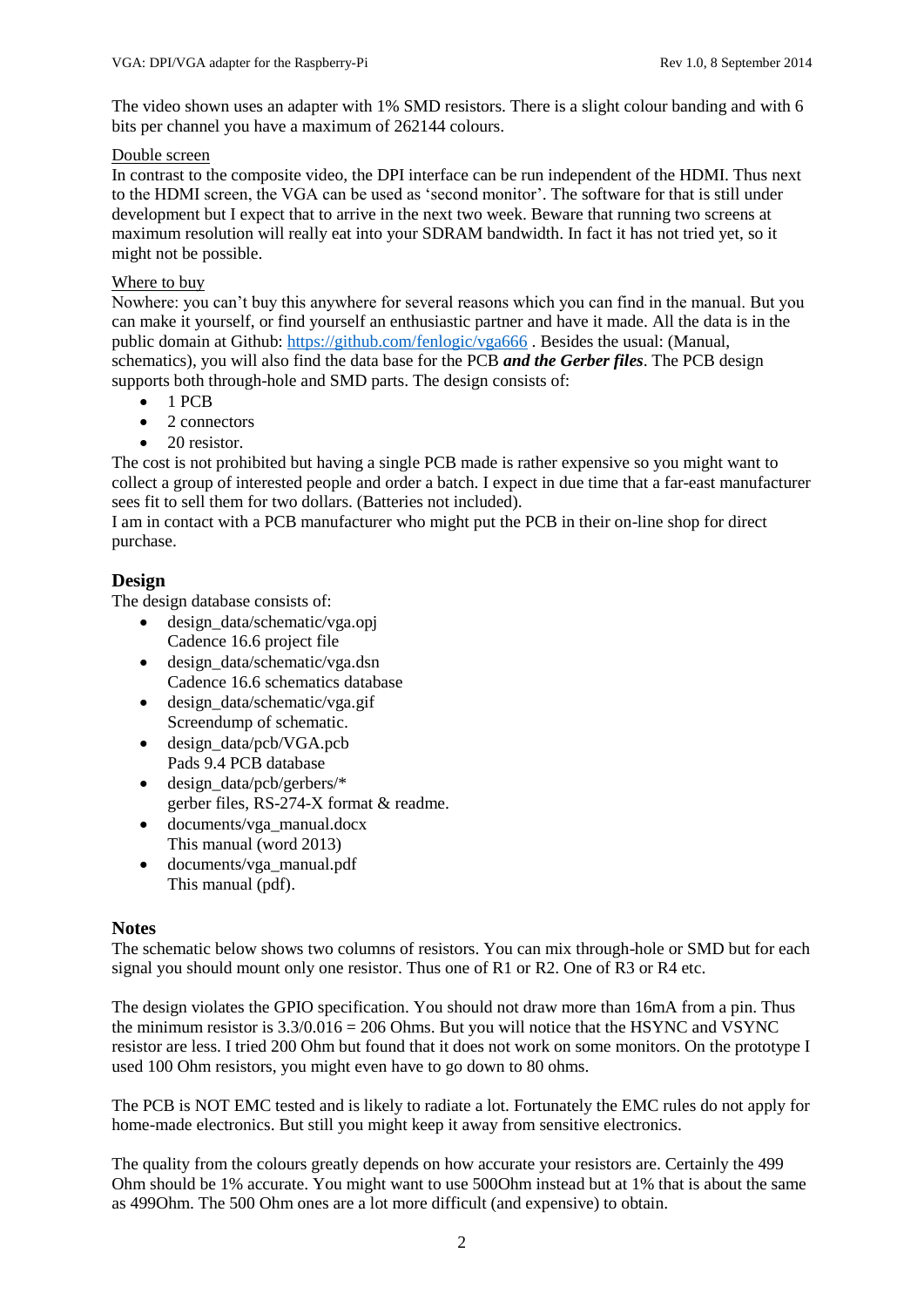The video shown uses an adapter with 1% SMD resistors. There is a slight colour banding and with 6 bits per channel you have a maximum of 262144 colours.

#### Double screen

In contrast to the composite video, the DPI interface can be run independent of the HDMI. Thus next to the HDMI screen, the VGA can be used as 'second monitor'. The software for that is still under development but I expect that to arrive in the next two week. Beware that running two screens at maximum resolution will really eat into your SDRAM bandwidth. In fact it has not tried yet, so it might not be possible.

#### Where to buy

Nowhere: you can't buy this anywhere for several reasons which you can find in the manual. But you can make it yourself, or find yourself an enthusiastic partner and have it made. All the data is in the public domain at Github: <https://github.com/fenlogic/vga666> . Besides the usual: (Manual, schematics), you will also find the data base for the PCB *and the Gerber files*. The PCB design supports both through-hole and SMD parts. The design consists of:

- $-1$  PCB
- 2 connectors
- 20 resistor.

The cost is not prohibited but having a single PCB made is rather expensive so you might want to collect a group of interested people and order a batch. I expect in due time that a far-east manufacturer sees fit to sell them for two dollars. (Batteries not included).

I am in contact with a PCB manufacturer who might put the PCB in their on-line shop for direct purchase.

### **Design**

The design database consists of:

- design data/schematic/vga.opj Cadence 16.6 project file
- design data/schematic/vga.dsn Cadence 16.6 schematics database
- design\_data/schematic/vga.gif Screendump of schematic.
- design\_data/pcb/VGA.pcb Pads 9.4 PCB database
- design\_data/pcb/gerbers/\* gerber files, RS-274-X format & readme.
- documents/vga\_manual.docx This manual (word 2013)
- documents/vga\_manual.pdf This manual (pdf).

### **Notes**

The schematic below shows two columns of resistors. You can mix through-hole or SMD but for each signal you should mount only one resistor. Thus one of R1 or R2. One of R3 or R4 etc.

The design violates the GPIO specification. You should not draw more than 16mA from a pin. Thus the minimum resistor is  $3.3/0.016 = 206$  Ohms. But you will notice that the HSYNC and VSYNC resistor are less. I tried 200 Ohm but found that it does not work on some monitors. On the prototype I used 100 Ohm resistors, you might even have to go down to 80 ohms.

The PCB is NOT EMC tested and is likely to radiate a lot. Fortunately the EMC rules do not apply for home-made electronics. But still you might keep it away from sensitive electronics.

The quality from the colours greatly depends on how accurate your resistors are. Certainly the 499 Ohm should be 1% accurate. You might want to use 500Ohm instead but at 1% that is about the same as 499Ohm. The 500 Ohm ones are a lot more difficult (and expensive) to obtain.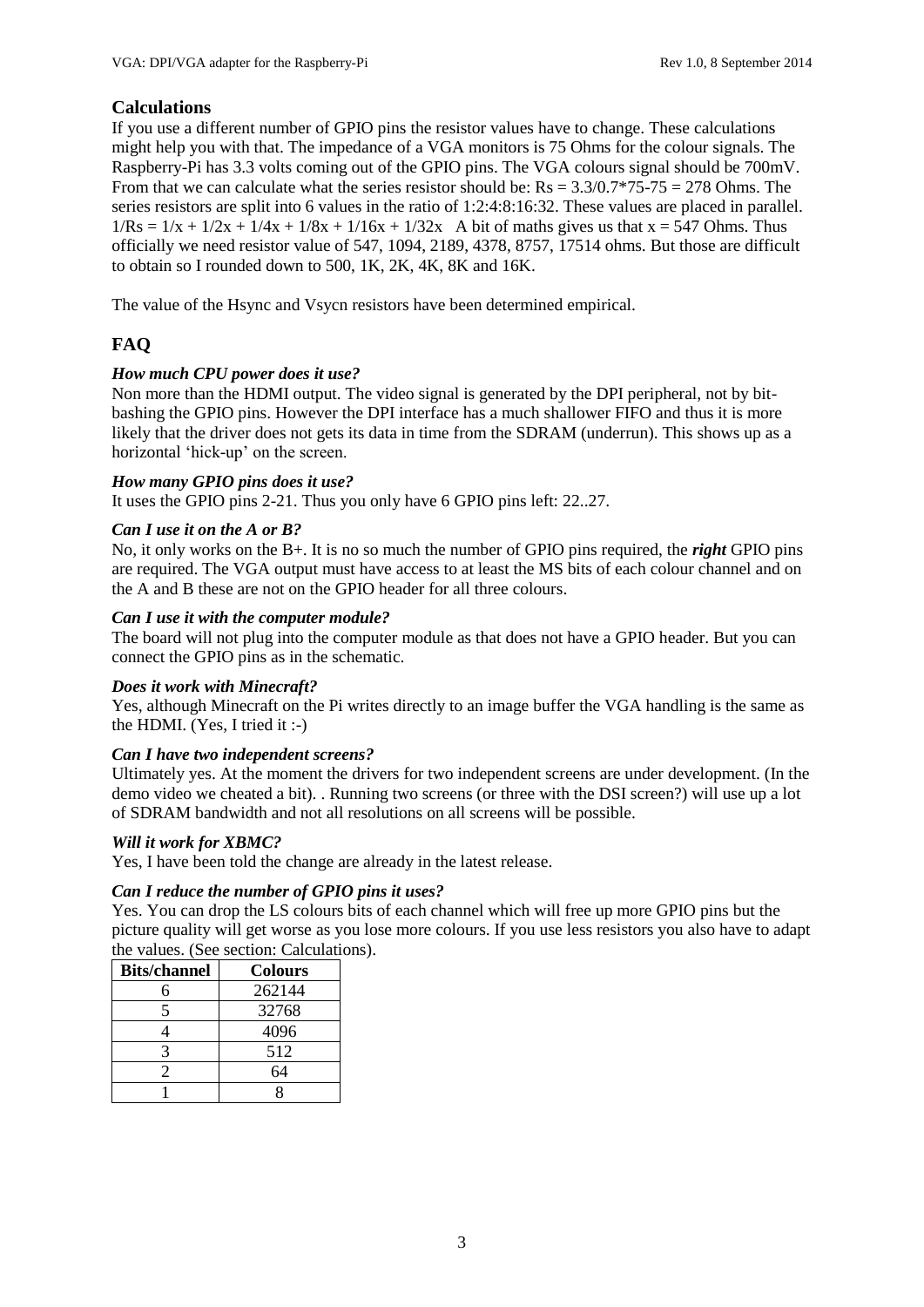### **Calculations**

If you use a different number of GPIO pins the resistor values have to change. These calculations might help you with that. The impedance of a VGA monitors is 75 Ohms for the colour signals. The Raspberry-Pi has 3.3 volts coming out of the GPIO pins. The VGA colours signal should be 700mV. From that we can calculate what the series resistor should be:  $Rs = 3.3/0.7*75-75 = 278$  Ohms. The series resistors are split into 6 values in the ratio of 1:2:4:8:16:32. These values are placed in parallel.  $1/Rs = 1/x + 1/2x + 1/4x + 1/8x + 1/16x + 1/32x$  A bit of maths gives us that  $x = 547$  Ohms. Thus officially we need resistor value of 547, 1094, 2189, 4378, 8757, 17514 ohms. But those are difficult to obtain so I rounded down to 500, 1K, 2K, 4K, 8K and 16K.

The value of the Hsync and Vsycn resistors have been determined empirical.

### **FAQ**

#### *How much CPU power does it use?*

Non more than the HDMI output. The video signal is generated by the DPI peripheral, not by bitbashing the GPIO pins. However the DPI interface has a much shallower FIFO and thus it is more likely that the driver does not gets its data in time from the SDRAM (underrun). This shows up as a horizontal 'hick-up' on the screen.

#### *How many GPIO pins does it use?*

It uses the GPIO pins 2-21. Thus you only have 6 GPIO pins left: 22..27.

#### *Can I use it on the A or B?*

No, it only works on the B+. It is no so much the number of GPIO pins required, the *right* GPIO pins are required. The VGA output must have access to at least the MS bits of each colour channel and on the A and B these are not on the GPIO header for all three colours.

#### *Can I use it with the computer module?*

The board will not plug into the computer module as that does not have a GPIO header. But you can connect the GPIO pins as in the schematic.

#### *Does it work with Minecraft?*

Yes, although Minecraft on the Pi writes directly to an image buffer the VGA handling is the same as the HDMI. (Yes, I tried it :-)

#### *Can I have two independent screens?*

Ultimately yes. At the moment the drivers for two independent screens are under development. (In the demo video we cheated a bit). . Running two screens (or three with the DSI screen?) will use up a lot of SDRAM bandwidth and not all resolutions on all screens will be possible.

#### *Will it work for XBMC?*

Yes, I have been told the change are already in the latest release.

#### *Can I reduce the number of GPIO pins it uses?*

Yes. You can drop the LS colours bits of each channel which will free up more GPIO pins but the picture quality will get worse as you lose more colours. If you use less resistors you also have to adapt the values. (See section: Calculations).

| <b>Bits/channel</b> | <b>Colours</b> |
|---------------------|----------------|
|                     | 262144         |
|                     | 32768          |
|                     | 4096           |
|                     | 512            |
|                     | 64             |
|                     |                |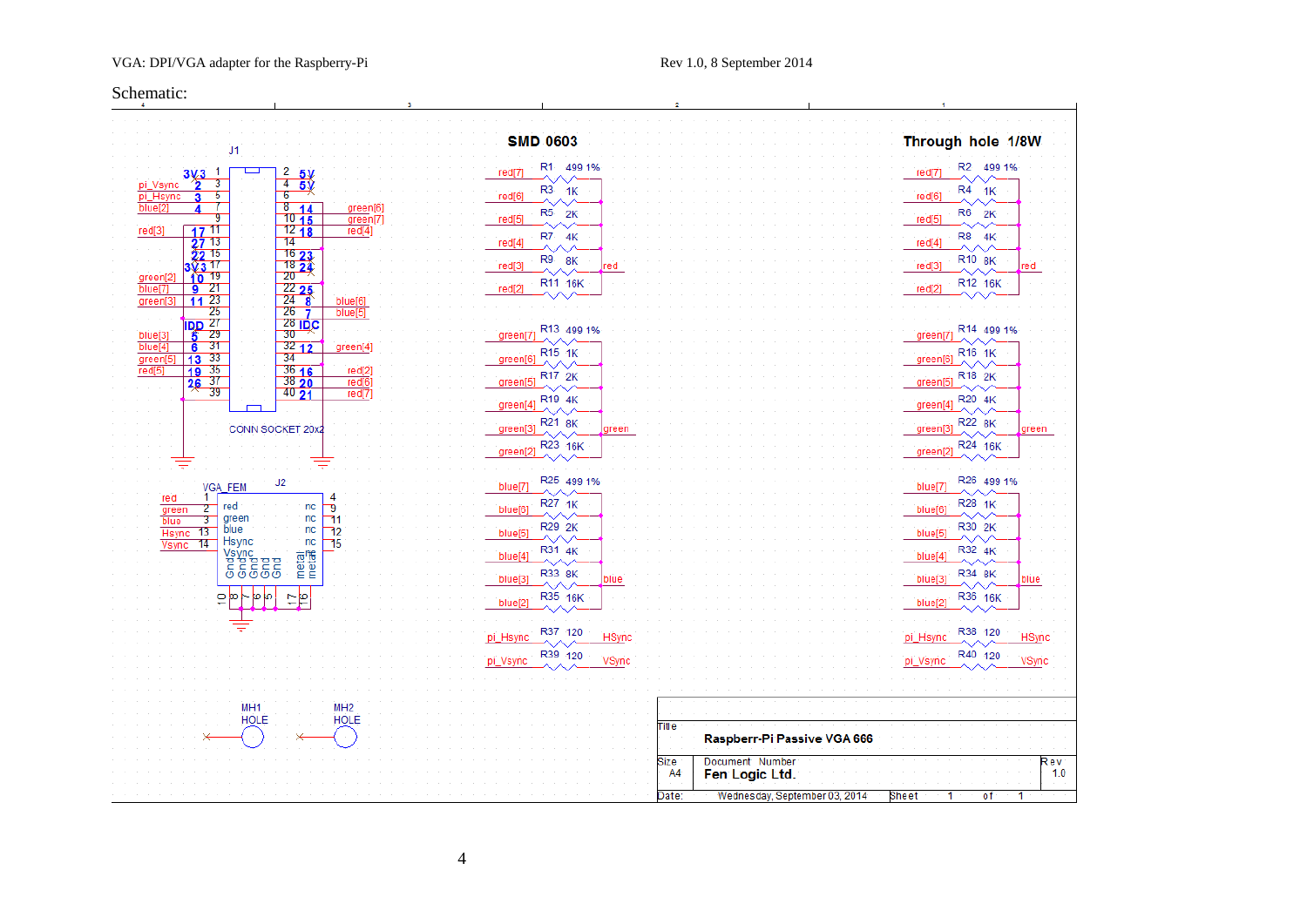#### VGA: DPI/VGA adapter for the Raspberry-Pi Rev 1.0, 8 September 2014

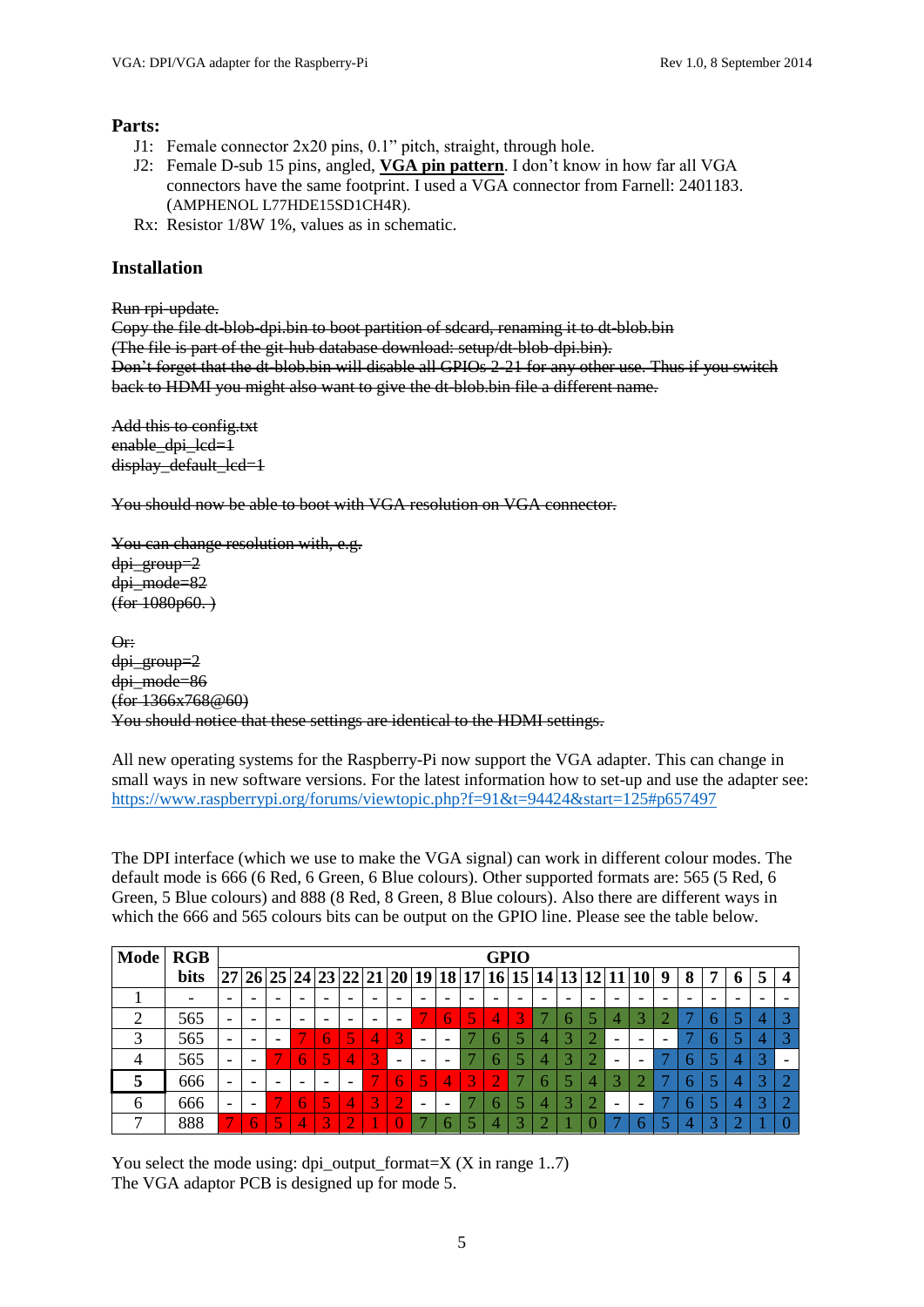#### **Parts:**

- J1: Female connector 2x20 pins, 0.1" pitch, straight, through hole.
- J2: Female D-sub 15 pins, angled, **VGA pin pattern**. I don't know in how far all VGA connectors have the same footprint. I used a VGA connector from Farnell: 2401183. (AMPHENOL L77HDE15SD1CH4R).
- Rx: Resistor 1/8W 1%, values as in schematic.

#### **Installation**

Run rpi-update.

Copy the file dt-blob-dpi.bin to boot partition of sdcard, renaming it to dt-blob.bin (The file is part of the git-hub database download: setup/dt-blob-dpi.bin). Don't forget that the dt-blob.bin will disable all GPIOs 2-21 for any other use. Thus if you switch back to HDMI you might also want to give the dt-blob.bin file a different name.

Add this to config.txt enable\_dpi\_lcd=1 display\_default\_lcd=1

You should now be able to boot with VGA resolution on VGA connector.

You can change resolution with, e.g. dpi\_group=2 dpi\_mode=82  $(for 1080p60.)$ 

Or: dpi\_group=2 dpi\_mode=86 (for 1366x768@60) You should notice that these settings are identical to the HDMI settings.

All new operating systems for the Raspberry-Pi now support the VGA adapter. This can change in small ways in new software versions. For the latest information how to set-up and use the adapter see: <https://www.raspberrypi.org/forums/viewtopic.php?f=91&t=94424&start=125#p657497>

The DPI interface (which we use to make the VGA signal) can work in different colour modes. The default mode is 666 (6 Red, 6 Green, 6 Blue colours). Other supported formats are: 565 (5 Red, 6 Green, 5 Blue colours) and 888 (8 Red, 8 Green, 8 Blue colours). Also there are different ways in which the 666 and 565 colours bits can be output on the GPIO line. Please see the table below.

| Mode RGB |      | <b>GPIO</b>              |                          |  |  |   |   |  |                          |                          |                          |  |   |  |                          |                                                            |   |   |   |   |  |
|----------|------|--------------------------|--------------------------|--|--|---|---|--|--------------------------|--------------------------|--------------------------|--|---|--|--------------------------|------------------------------------------------------------|---|---|---|---|--|
|          | bits |                          |                          |  |  |   |   |  |                          |                          |                          |  |   |  |                          | $ 27 26 25 24 23 22 21 20 19 18 17 16 15 14 13 12 11 10 9$ | 8 | 7 | 6 | 5 |  |
|          |      |                          |                          |  |  |   |   |  |                          |                          |                          |  |   |  |                          |                                                            |   |   |   |   |  |
|          | 565  |                          |                          |  |  |   |   |  |                          |                          |                          |  | 3 |  |                          |                                                            |   |   |   |   |  |
|          | 565  | $\overline{\phantom{0}}$ | -                        |  |  |   | 5 |  | 3'                       | $\overline{\phantom{0}}$ | $\overline{\phantom{0}}$ |  |   |  |                          | $\overline{\phantom{0}}$                                   |   |   |   |   |  |
|          | 565  |                          | $\overline{\phantom{0}}$ |  |  | 5 | 4 |  | $\overline{\phantom{0}}$ |                          | $\overline{\phantom{0}}$ |  |   |  | $\overline{\phantom{0}}$ |                                                            |   |   |   |   |  |
|          | 666  |                          |                          |  |  |   |   |  |                          | $\leq$                   | 4                        |  |   |  |                          |                                                            |   |   |   |   |  |
| 6        | 666  | $\overline{\phantom{a}}$ | -                        |  |  | ς | 4 |  |                          | $\overline{\phantom{0}}$ | -                        |  |   |  | $\overline{\phantom{a}}$ |                                                            |   |   |   |   |  |
|          | 888  |                          |                          |  |  |   |   |  |                          |                          |                          |  |   |  |                          |                                                            |   |   |   |   |  |

You select the mode using:  $dpi\_output\_format=X$  (X in range 1..7) The VGA adaptor PCB is designed up for mode 5.